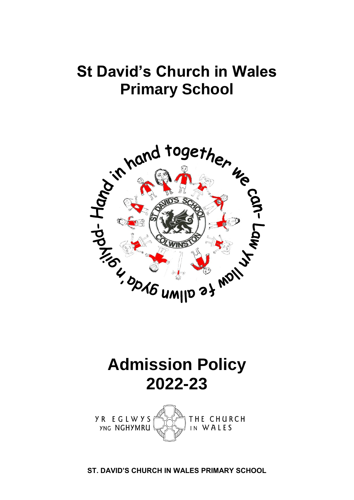### **St David's Church in Wales Primary School**



## **Admission Policy 2022-23**



**ST. DAVID'S CHURCH IN WALES PRIMARY SCHOOL**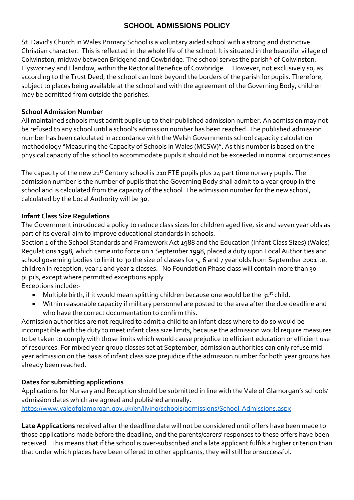#### **SCHOOL ADMISSIONS POLICY**

St. David's Church in Wales Primary School is a voluntary aided school with a strong and distinctive Christian character. This is reflected in the whole life of the school. It is situated in the beautiful village of Colwinston, midway between Bridgend and Cowbridge. The school serves the parish\* of Colwinston, Llysworney and Llandow, within the Rectorial Benefice of Cowbridge. However, not exclusively so, as according to the Trust Deed, the school can look beyond the borders of the parish for pupils. Therefore, subject to places being available at the school and with the agreement of the Governing Body, children may be admitted from outside the parishes.

#### **School Admission Number**

All maintained schools must admit pupils up to their published admission number. An admission may not be refused to any school until a school's admission number has been reached. The published admission number has been calculated in accordance with the Welsh Governments school capacity calculation methodology "Measuring the Capacity of Schools in Wales (MCSW)". As this number is based on the physical capacity of the school to accommodate pupils it should not be exceeded in normal circumstances.

The capacity of the new  $21^{st}$  Century school is 210 FTE pupils plus 24 part time nursery pupils. The admission number is the number of pupils that the Governing Body shall admit to a year group in the school and is calculated from the capacity of the school. The admission number for the new school, calculated by the Local Authority will be **30**.

#### **Infant Class Size Regulations**

The Government introduced a policy to reduce class sizes for children aged five, six and seven year olds as part of its overall aim to improve educational standards in schools.

Section 1 of the School Standards and Framework Act 1988 and the Education (Infant Class Sizes) (Wales) Regulations 1998, which came into force on 1 September 1998, placed a duty upon Local Authorities and school governing bodies to limit to 30 the size of classes for 5, 6 and 7 year olds from September 2001 i.e. children in reception, year 1 and year 2 classes. No Foundation Phase class will contain more than 30 pupils, except where permitted exceptions apply.

Exceptions include:-

- Multiple birth, if it would mean splitting children because one would be the 31<sup>st</sup> child.
- Within reasonable capacity if military personnel are posted to the area after the due deadline and who have the correct documentation to confirm this.

Admission authorities are not required to admit a child to an infant class where to do so would be incompatible with the duty to meet infant class size limits, because the admission would require measures to be taken to comply with those limits which would cause prejudice to efficient education or efficient use of resources. For mixed year group classes set at September, admission authorities can only refuse midyear admission on the basis of infant class size prejudice if the admission number for both year groups has already been reached.

#### **Dates for submitting applications**

Applications for Nursery and Reception should be submitted in line with the Vale of Glamorgan's schools' admission dates which are agreed and published annually. <https://www.valeofglamorgan.gov.uk/en/living/schools/admissions/School-Admissions.aspx>

**Late Applications** received after the deadline date will not be considered until offers have been made to those applications made before the deadline, and the parents/carers' responses to these offers have been received. This means that if the school is over-subscribed and a late applicant fulfils a higher criterion than that under which places have been offered to other applicants, they will still be unsuccessful.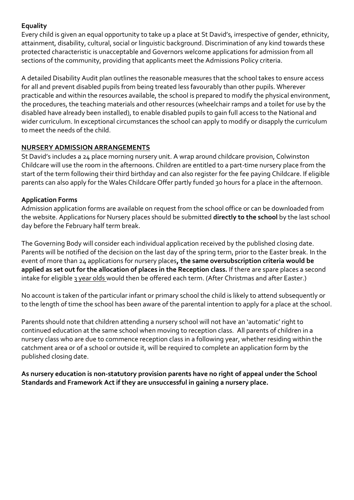#### **Equality**

Every child is given an equal opportunity to take up a place at St David's, irrespective of gender, ethnicity, attainment, disability, cultural, social or linguistic background. Discrimination of any kind towards these protected characteristic is unacceptable and Governors welcome applications for admission from all sections of the community, providing that applicants meet the Admissions Policy criteria.

A detailed Disability Audit plan outlines the reasonable measures that the school takes to ensure access for all and prevent disabled pupils from being treated less favourably than other pupils. Wherever practicable and within the resources available, the school is prepared to modify the physical environment, the procedures, the teaching materials and other resources (wheelchair ramps and a toilet for use by the disabled have already been installed), to enable disabled pupils to gain full access to the National and wider curriculum. In exceptional circumstances the school can apply to modify or disapply the curriculum to meet the needs of the child.

#### **NURSERY ADMISSION ARRANGEMENTS**

St David's includes a 24 place morning nursery unit. A wrap around childcare provision, Colwinston Childcare will use the room in the afternoons. Children are entitled to a part-time nursery place from the start of the term following their third birthday and can also register for the fee paying Childcare. If eligible parents can also apply for the Wales Childcare Offer partly funded 30 hours for a place in the afternoon.

#### **Application Forms**

Admission application forms are available on request from the school office or can be downloaded from the website. Applications for Nursery places should be submitted **directly to the school** by the last school day before the February half term break.

The Governing Body will consider each individual application received by the published closing date. Parents will be notified of the decision on the last day of the spring term, prior to the Easter break. In the event of more than 24 applications for nursery places**, the same oversubscription criteria would be applied as set out for the allocation of places in the Reception class.** If there are spare places a second intake for eligible 3 year olds would then be offered each term. (After Christmas and after Easter.)

No account is taken of the particular infant or primary school the child is likely to attend subsequently or to the length of time the school has been aware of the parental intention to apply for a place at the school.

Parents should note that children attending a nursery school will not have an 'automatic' right to continued education at the same school when moving to reception class. All parents of children in a nursery class who are due to commence reception class in a following year, whether residing within the catchment area or of a school or outside it, will be required to complete an application form by the published closing date.

**As nursery education is non-statutory provision parents have no right of appeal under the School Standards and Framework Act if they are unsuccessful in gaining a nursery place.**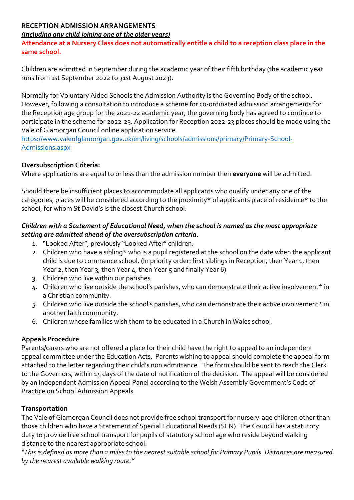#### **RECEPTION ADMISSION ARRANGEMENTS**

#### *(Including any child joining one of the older years)*

**Attendance at a Nursery Class does not automatically entitle a child to a reception class place in the same school.**

Children are admitted in September during the academic year of their fifth birthday (the academic year runs from 1st September 2022 to 31st August 2023).

Normally for Voluntary Aided Schools the Admission Authority is the Governing Body of the school. However, following a consultation to introduce a scheme for co-ordinated admission arrangements for the Reception age group for the 2021-22 academic year, the governing body has agreed to continue to participate in the scheme for 2022-23. Application for Reception 2022-23 places should be made using the Vale of Glamorgan Council online application service.

[https://www.valeofglamorgan.gov.uk/en/living/schools/admissions/primary/Primary-School-](https://www.valeofglamorgan.gov.uk/en/living/schools/admissions/primary/Primary-School-Admissions.aspx)[Admissions.aspx](https://www.valeofglamorgan.gov.uk/en/living/schools/admissions/primary/Primary-School-Admissions.aspx) 

#### **Oversubscription Criteria:**

Where applications are equal to or less than the admission number then **everyone** will be admitted.

Should there be insufficient places to accommodate all applicants who qualify under any one of the categories, places will be considered according to the proximity\* of applicants place of residence\* to the school, for whom St David's is the closest Church school.

#### *Children with a Statement of Educational Need, when the school is named as the most appropriate setting are admitted ahead of the oversubscription criteria.*

- 1. "Looked After", previously "Looked After" children.
- 2. Children who have a sibling\* who is a pupil registered at the school on the date when the applicant child is due to commence school. (In priority order: first siblings in Reception, then Year 1, then Year 2, then Year 3, then Year 4, then Year 5 and finally Year 6)
- 3. Children who live within our parishes.
- 4. Children who live outside the school's parishes, who can demonstrate their active involvement\* in a Christian community.
- 5. Children who live outside the school's parishes, who can demonstrate their active involvement\* in another faith community.
- 6. Children whose families wish them to be educated in a Church in Wales school.

#### **Appeals Procedure**

Parents/carers who are not offered a place for their child have the right to appeal to an independent appeal committee under the Education Acts. Parents wishing to appeal should complete the appeal form attached to the letter regarding their child's non admittance. The form should be sent to reach the Clerk to the Governors, within 15 days of the date of notification of the decision. The appeal will be considered by an independent Admission Appeal Panel according to the Welsh Assembly Government's Code of Practice on School Admission Appeals.

#### **Transportation**

The Vale of Glamorgan Council does not provide free school transport for nursery-age children other than those children who have a Statement of Special Educational Needs (SEN). The Council has a statutory duty to provide free school transport for pupils of statutory school age who reside beyond walking distance to the nearest appropriate school.

*"This is defined as more than 2 miles to the nearest suitable school for Primary Pupils. Distances are measured by the nearest available walking route."*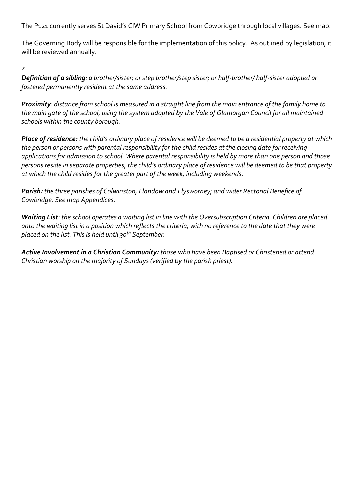The P121 currently serves St David's CIW Primary School from Cowbridge through local villages. See map.

The Governing Body will be responsible for the implementation of this policy. As outlined by legislation, it will be reviewed annually.

\*

*Definition of a sibling: a brother/sister; or step brother/step sister; or half-brother/ half-sister adopted or fostered permanently resident at the same address.*

*Proximity: distance from school is measured in a straight line from the main entrance of the family home to the main gate of the school, using the system adopted by the Vale of Glamorgan Council for all maintained schools within the county borough.*

*Place of residence: the child's ordinary place of residence will be deemed to be a residential property at which the person or persons with parental responsibility for the child resides at the closing date for receiving applications for admission to school. Where parental responsibility is held by more than one person and those persons reside in separate properties, the child's ordinary place of residence will be deemed to be that property at which the child resides for the greater part of the week, including weekends.*

*Parish: the three parishes of Colwinston, Llandow and Llysworney; and wider Rectorial Benefice of Cowbridge. See map Appendices.*

*Waiting List: the school operates a waiting list in line with the Oversubscription Criteria. Children are placed onto the waiting list in a position which reflects the criteria, with no reference to the date that they were placed on the list. This is held until 30th September.*

*Active Involvement in a Christian Community: those who have been Baptised or Christened or attend Christian worship on the majority of Sundays (verified by the parish priest).*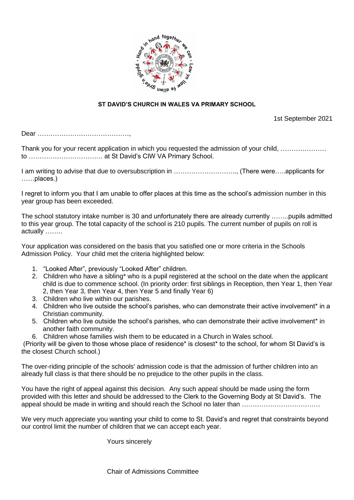

#### **ST DAVID'S CHURCH IN WALES VA PRIMARY SCHOOL**

1st September 2021

Dear ……………………………………,

Thank you for your recent application in which you requested the admission of your child, ………………… to ……………………………. at St David's CIW VA Primary School.

I am writing to advise that due to oversubscription in ……………………….., (There were…..applicants for ……places.)

I regret to inform you that I am unable to offer places at this time as the school's admission number in this year group has been exceeded.

The school statutory intake number is 30 and unfortunately there are already currently ……..pupils admitted to this year group. The total capacity of the school is 210 pupils. The current number of pupils on roll is actually ……..

Your application was considered on the basis that you satisfied one or more criteria in the Schools Admission Policy. Your child met the criteria highlighted below:

- 1. "Looked After", previously "Looked After" children.
- 2. Children who have a sibling\* who is a pupil registered at the school on the date when the applicant child is due to commence school. (In priority order: first siblings in Reception, then Year 1, then Year 2, then Year 3, then Year 4, then Year 5 and finally Year 6)
- 3. Children who live within our parishes.
- 4. Children who live outside the school's parishes, who can demonstrate their active involvement\* in a Christian community.
- 5. Children who live outside the school's parishes, who can demonstrate their active involvement\* in another faith community.
- 6. Children whose families wish them to be educated in a Church in Wales school.

(Priority will be given to those whose place of residence\* is closest\* to the school, for whom St David's is the closest Church school.)

The over-riding principle of the schools' admission code is that the admission of further children into an already full class is that there should be no prejudice to the other pupils in the class.

You have the right of appeal against this decision. Any such appeal should be made using the form provided with this letter and should be addressed to the Clerk to the Governing Body at St David's. The appeal should be made in writing and should reach the School no later than ..................................

We very much appreciate you wanting your child to come to St. David's and regret that constraints beyond our control limit the number of children that we can accept each year.

Yours sincerely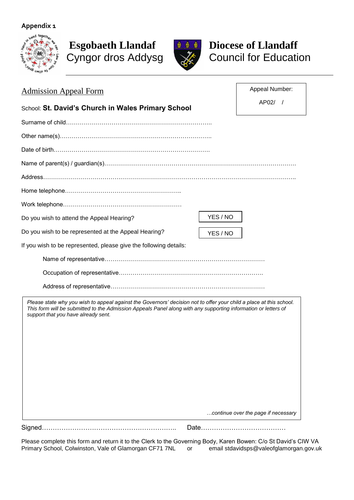#### **Appendix 1**



# Cyngor dros Addysg



# **Esgobaeth Llandaf Diocese of Llandaff**<br> **Cyngor dros Addysg Council for Education**

| <b>Admission Appeal Form</b>                                                                                                                                                                                                                                                 | Appeal Number:                              |
|------------------------------------------------------------------------------------------------------------------------------------------------------------------------------------------------------------------------------------------------------------------------------|---------------------------------------------|
| School: St. David's Church in Wales Primary School                                                                                                                                                                                                                           | $AP02/$ /                                   |
|                                                                                                                                                                                                                                                                              |                                             |
|                                                                                                                                                                                                                                                                              |                                             |
|                                                                                                                                                                                                                                                                              |                                             |
|                                                                                                                                                                                                                                                                              |                                             |
|                                                                                                                                                                                                                                                                              |                                             |
|                                                                                                                                                                                                                                                                              |                                             |
|                                                                                                                                                                                                                                                                              |                                             |
| Do you wish to attend the Appeal Hearing?                                                                                                                                                                                                                                    | YES / NO                                    |
| Do you wish to be represented at the Appeal Hearing?                                                                                                                                                                                                                         | YES / NO                                    |
| If you wish to be represented, please give the following details:                                                                                                                                                                                                            |                                             |
|                                                                                                                                                                                                                                                                              |                                             |
|                                                                                                                                                                                                                                                                              |                                             |
|                                                                                                                                                                                                                                                                              |                                             |
| Please state why you wish to appeal against the Governors' decision not to offer your child a place at this school.<br>This form will be submitted to the Admission Appeals Panel along with any supporting information or letters of<br>support that you have already sent. |                                             |
|                                                                                                                                                                                                                                                                              | continue over the page if necessary<br>Date |

Please complete this form and return it to the Clerk to the Governing Body, Karen Bowen: C/o St David's CIW VA Primary School, Colwinston, Vale of Glamorgan CF71 7NL or email stdavidsps@valeofglamorgan.gov.uk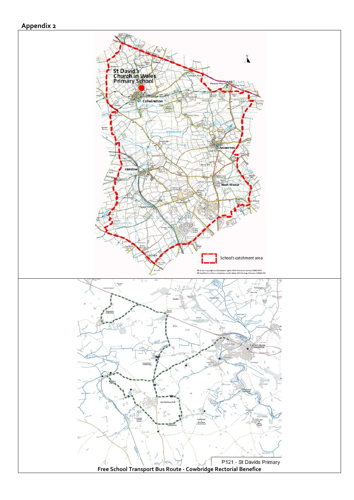### **Appendix 2**

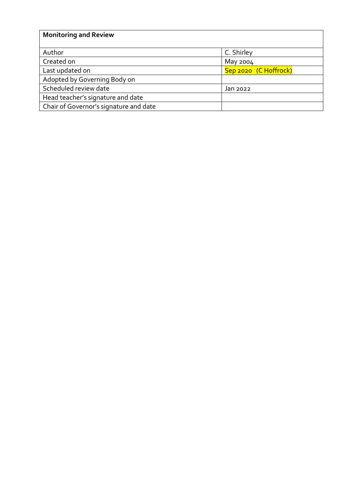| <b>Monitoring and Review</b>           |                       |
|----------------------------------------|-----------------------|
|                                        |                       |
| Author                                 | C. Shirley            |
| Created on                             | May 2004              |
| Last updated on                        | Sep 2020 (C Hoffrock) |
| Adopted by Governing Body on           |                       |
| Scheduled review date                  | Jan 2022              |
| Head teacher's signature and date      |                       |
| Chair of Governor's signature and date |                       |